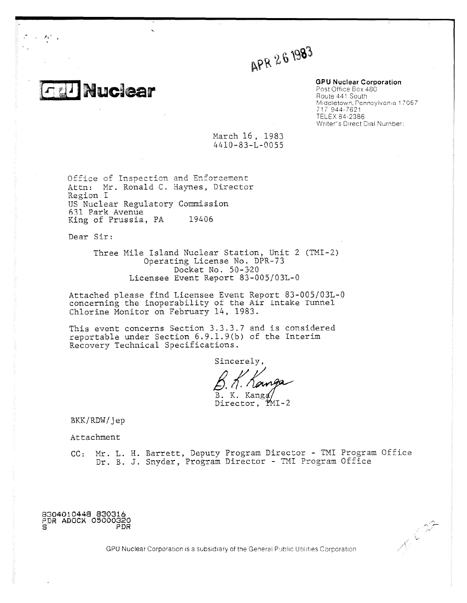**Nuclear** 

APR 261983

**GPU Nuclear Corporation**

Post Office Box 480 Route 441 South Middletown, Pennsylvania 17057 717 944-7621 TELEX 84-2386 Writer"s Direct Dial Number:

**RECORT** 

March 16, 1983 4410-83-L-0055

Office of Inspection and Enforcement Attn: Mr. Ronald C. Haynes, Director Region I US Nuclear Regulatory Commission 631 Park Avenue King of Prussia, PA 19406

Dear Sir:

Three Mile Island Nuclear Station, Unit 2 (TMI-2) Operating License No. DPR-73 Docket No. 50-320 Licensee Event Report 83-005/03L-0

Attached please find Licensee Event Report 83-005/03L-0 concerning the inoperability ot the Air intake Tunnel Chlorine Monitor on February 14, 1983.

This event concerns Section 3.3.3.7 and is considered reportable under Section 6.9.1.9(b) of the Interim Recovery Technical Specifications.

Sincerely,

K Kanga

Director, PMI-2

BKK/RDW/jep

Attachment

CC: Mr. L. H. Barrett, Deputy Program Director - TMI Program Office Dr. B. J. Snyder, Program Director - TMI Program Office

**8304010448 830316 ?DR ADOCA 05000320 S PDR**

GPU Nuclear Corporation is a subsidiary of the General Public Utilities Corporation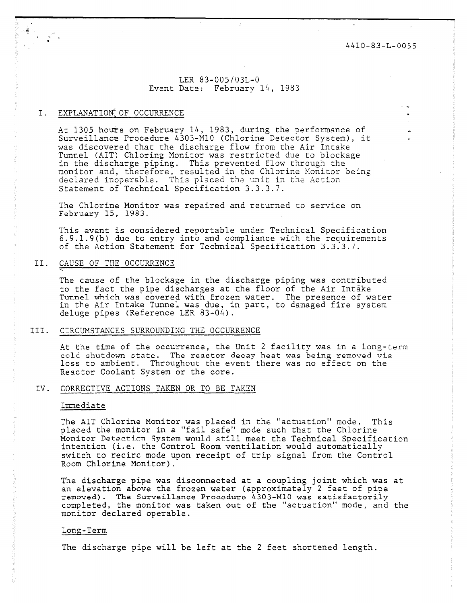4410-83-L-0055

# LER 83-005/03L-0 Event Date: February 14, 1983

## I. EXPLANATION OF OCCURRENCE

At 1305 hours on February 14, 1983, during the performance of Surveillance Procedure 4303-M10 (Chlorine Detector System), it was discovered that the discharge flow from the Air Intake Tunnel (AIT) Chloring Monitor was restricted due to blockage in the discharge piping. This prevented flow through the monitor and, therefore, resulted in the Chlorine Monitor being declared inoperable. This placed the unit in the Action Statement of Technical Specification 3.3.3.7.

The Chlorine Monitor was repaired and returned to service on February 15, 1983.

This event is considered reportable under Technical Specification 6.9.1.9(b) due to entry into and compliance with the requirements of the Action Statement for Technical Specification 3.3.3.7.

## II. CAUSE OF THE OCCURRENCE

The cause of the blockage in the discharge piping was contributed to the fact the pipe discharges at the floor of the Air Intake Tunnel which was covered with frozen water. The presence of water in the Air Intake Tunnel was due, in part, to damaged fire system deluge pipes (Reference LER 83-04).

### III. CIRCUMSTANCES SURROUNDING THE OCCURRENCE

At the time of the occurrence, the Unit 2 facility was in a long-term cold shutdown state. The reactor decay heat was being removed via loss to ambient. Throughout the event there was no effect on the Reactor Coolant System or the core.

#### IV. CORRECTIVE ACTIONS TAKEN OR TO BE TAKEN

#### Immediate

The AIT Chlorine Monitor was placed in the "actuation" mode. This placed the monitor in a "fail safe" mode such that the Chlorine Monitor Detection System would still meet the Technical Specification intention (i.e. the Control Room ventilation would automatically switch to recirc mode upon receipt of trip signal from the Control Room Chlorine Monitor).

The discharge pipe was disconnected at a coupling joint which was at an elevation above the frozen water (approximately 2 feet of pipe removed). The Surveillance Procedure 4303-M10 was satisfactorily completed, the monitor was taken out of the "actuation" mode, and the monitor declared operable.

#### Long-Term

The discharge pipe will be left at the 2 feet shortened length.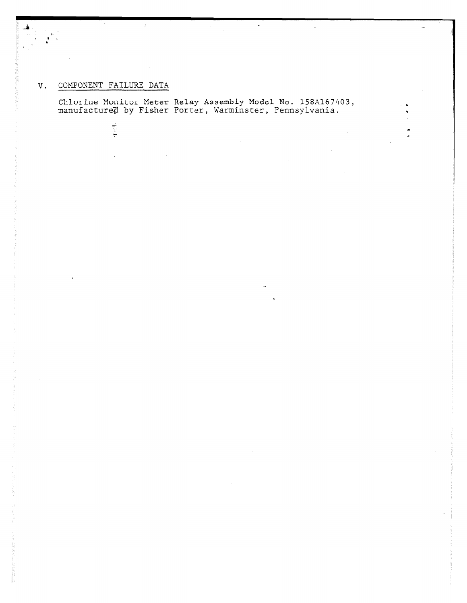# V. COMPONENT FAILURE DATA

计可计

 $\mathbf{f}$  .

 $\bar{f}$ 

Chlorine Monitor Meter Relay Assembly Model No. 158A167403 manufactured by Fisher Porter, Warminster, Pennsylvania

 $\star$ 

 $\hat{\boldsymbol{\epsilon}}$ 

 $\bar{\epsilon}_{\rm obs}$